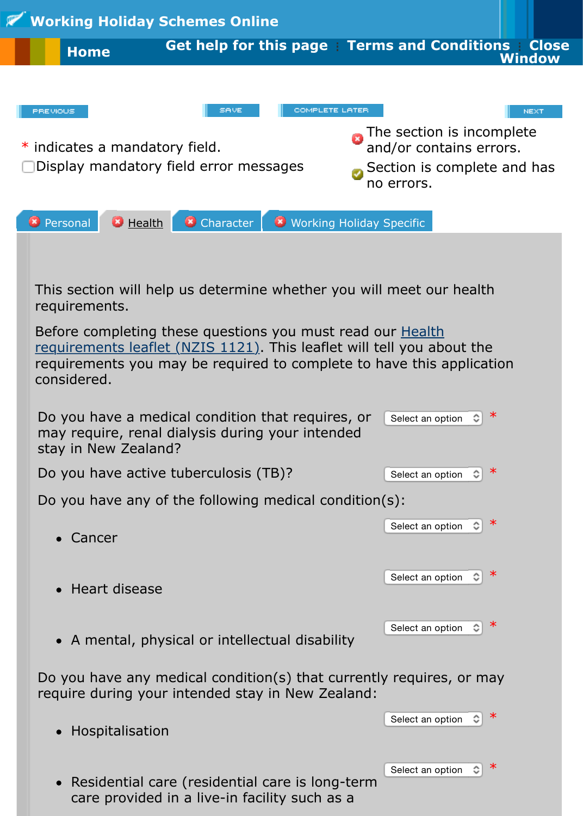

Section is complete a no errors.

Select an option  $\left\| \mathbf{C} \right\|$ 

and/or contains extensive contains extensive contains extensive contains extensive contains  $\blacksquare$ 



Before completing these questions you must read our **Health** requirements leaflet (NZIS 1121). This leaflet will tell you about the requirements you may be required to complete to have this application considered.

| Do you have a medical condition that requires, or<br>may require, renal dialysis during your intended<br>stay in New Zealand? | Select an option |   | ∗ |
|-------------------------------------------------------------------------------------------------------------------------------|------------------|---|---|
| Do you have active tuberculosis (TB)?                                                                                         | Select an option |   | ∗ |
| Do you have any of the following medical condition(s):                                                                        |                  |   |   |
| Cancer                                                                                                                        | Select an option |   | ∗ |
| Heart disease                                                                                                                 | Select an option |   |   |
| • A mental, physical or intellectual disability                                                                               | Select an option |   |   |
| Do you have any medical condition(s) that currently requires, or may<br>require during your intended stay in New Zealand:     |                  |   |   |
|                                                                                                                               | Select an option | ≎ | ∗ |

Residential care (residential care is long-term care provided in a live-in facility such as a

Hospitalisation

 $\bullet$